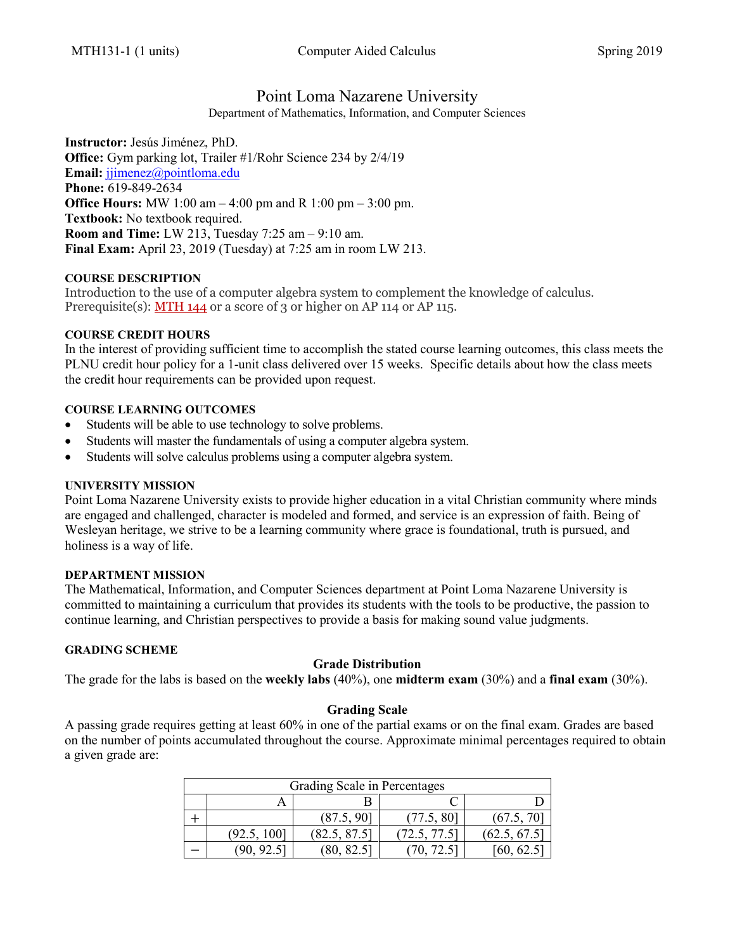# Point Loma Nazarene University

Department of Mathematics, Information, and Computer Sciences

**Instructor:** Jesús Jiménez, PhD. **Office:** Gym parking lot, Trailer #1/Rohr Science 234 by 2/4/19 **Email:** [jjimenez@pointloma.edu](mailto:jjimenez@pointloma.edu) **Phone:** 619-849-2634 **Office Hours:** MW 1:00 am – 4:00 pm and R 1:00 pm – 3:00 pm. **Textbook:** No textbook required. **Room and Time:** LW 213, Tuesday 7:25 am – 9:10 am. **Final Exam:** April 23, 2019 (Tuesday) at 7:25 am in room LW 213.

## **COURSE DESCRIPTION**

Introduction to the use of a computer algebra system to complement the knowledge of calculus. Prerequisite(s):  $MTH$  144 or a score of 3 or higher on AP 114 or AP 115.

## **COURSE CREDIT HOURS**

In the interest of providing sufficient time to accomplish the stated course learning outcomes, this class meets the PLNU credit hour policy for a 1-unit class delivered over 15 weeks. Specific details about how the class meets the credit hour requirements can be provided upon request.

## **COURSE LEARNING OUTCOMES**

- Students will be able to use technology to solve problems.
- Students will master the fundamentals of using a computer algebra system.
- Students will solve calculus problems using a computer algebra system.

## **UNIVERSITY MISSION**

Point Loma Nazarene University exists to provide higher education in a vital Christian community where minds are engaged and challenged, character is modeled and formed, and service is an expression of faith. Being of Wesleyan heritage, we strive to be a learning community where grace is foundational, truth is pursued, and holiness is a way of life.

## **DEPARTMENT MISSION**

The Mathematical, Information, and Computer Sciences department at Point Loma Nazarene University is committed to maintaining a curriculum that provides its students with the tools to be productive, the passion to continue learning, and Christian perspectives to provide a basis for making sound value judgments.

## **GRADING SCHEME**

## **Grade Distribution**

The grade for the labs is based on the **weekly labs** (40%), one **midterm exam** (30%) and a **final exam** (30%).

## **Grading Scale**

A passing grade requires getting at least 60% in one of the partial exams or on the final exam. Grades are based on the number of points accumulated throughout the course. Approximate minimal percentages required to obtain a given grade are:

| Grading Scale in Percentages |             |              |            |              |  |  |  |
|------------------------------|-------------|--------------|------------|--------------|--|--|--|
|                              |             |              |            |              |  |  |  |
|                              |             | (87.5, 90)   | (77.5, 80) | (67.5, 70)   |  |  |  |
|                              | (92.5, 100] | (82.5, 87.5) | 72.5, 77.5 | (62.5, 67.5) |  |  |  |
|                              |             |              |            |              |  |  |  |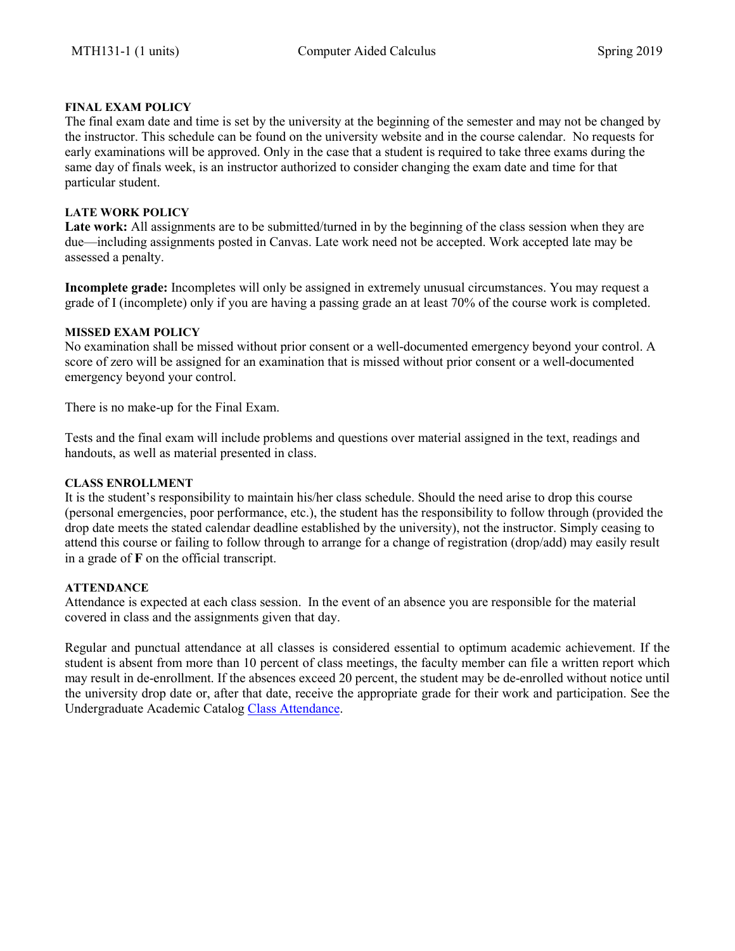## **FINAL EXAM POLICY**

The final exam date and time is set by the university at the beginning of the semester and may not be changed by the instructor. This schedule can be found on the university website and in the course calendar. No requests for early examinations will be approved. Only in the case that a student is required to take three exams during the same day of finals week, is an instructor authorized to consider changing the exam date and time for that particular student.

## **LATE WORK POLICY**

**Late work:** All assignments are to be submitted/turned in by the beginning of the class session when they are due—including assignments posted in Canvas. Late work need not be accepted. Work accepted late may be assessed a penalty.

**Incomplete grade:** Incompletes will only be assigned in extremely unusual circumstances. You may request a grade of I (incomplete) only if you are having a passing grade an at least 70% of the course work is completed.

## **MISSED EXAM POLICY**

No examination shall be missed without prior consent or a well-documented emergency beyond your control. A score of zero will be assigned for an examination that is missed without prior consent or a well-documented emergency beyond your control.

There is no make-up for the Final Exam.

Tests and the final exam will include problems and questions over material assigned in the text, readings and handouts, as well as material presented in class.

#### **CLASS ENROLLMENT**

It is the student's responsibility to maintain his/her class schedule. Should the need arise to drop this course (personal emergencies, poor performance, etc.), the student has the responsibility to follow through (provided the drop date meets the stated calendar deadline established by the university), not the instructor. Simply ceasing to attend this course or failing to follow through to arrange for a change of registration (drop/add) may easily result in a grade of **F** on the official transcript.

## **ATTENDANCE**

Attendance is expected at each class session. In the event of an absence you are responsible for the material covered in class and the assignments given that day.

Regular and punctual attendance at all classes is considered essential to optimum academic achievement. If the student is absent from more than 10 percent of class meetings, the faculty member can file a written report which may result in de-enrollment. If the absences exceed 20 percent, the student may be de-enrolled without notice until the university drop date or, after that date, receive the appropriate grade for their work and participation. See the Undergraduate Academic Catalog [Class Attendance.](https://catalog.pointloma.edu/content.php?catoid=35&navoid=2136#Class_Attendance)